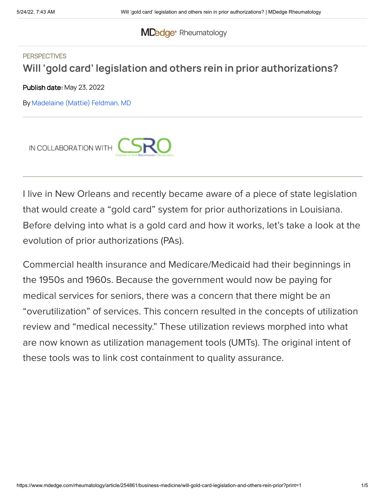### **MDedge** [Rheumatology](https://www.mdedge.com/rheumatology)

## **PERSPECTIVES Will 'gold card' legislation and others rein in prior authorizations?**

Publish date: May 23, 2022

By [Madelaine](https://www.mdedge.com/authors/madelaine-mattie-feldman-md) (Mattie) Feldman, MD



I live in New Orleans and recently became aware of a piece of state legislation that would create a "gold card" system for prior authorizations in Louisiana. Before delving into what is a gold card and how it works, let's take a look at the evolution of prior authorizations (PAs).

Commercial health insurance and Medicare/Medicaid had their beginnings in the 1950s and 1960s. Because the government would now be paying for medical services for seniors, there was a concern that there might be an "overutilization" of services. This concern resulted in the concepts of utilization review and "medical necessity." These utilization reviews morphed into what are now known as utilization management tools (UMTs). The original intent of these tools was to link cost containment to quality assurance.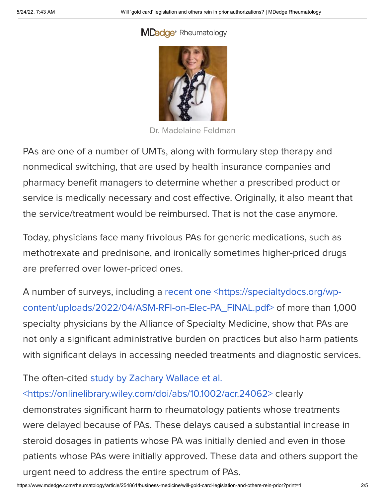## **MDedge**® [Rheumatology](https://cdn.mdedge.com/files/s3fs-public/Feldman_Madelaine_LA_web_0_0.jpg)



Dr. Madelaine Feldman

PAs are one of a number of UMTs, along with formulary step therapy and nonmedical switching, that are used by health insurance companies and pharmacy benefit managers to determine whether a prescribed product or service is medically necessary and cost effective. Originally, it also meant that the service/treatment would be reimbursed. That is not the case anymore.

Today, physicians face many frivolous PAs for generic medications, such as methotrexate and prednisone, and ironically sometimes higher-priced drugs are preferred over lower-priced ones.

A number of surveys, including a recent one <https://specialtydocs.org/wp[content/uploads/2022/04/ASM-RFI-on-Elec-PA\\_FINAL.pdf>](https://specialtydocs.org/wp-content/uploads/2022/04/ASM-RFI-on-Elec-PA_FINAL.pdf) of more than 1,000 specialty physicians by the Alliance of Specialty Medicine, show that PAs are not only a significant administrative burden on practices but also harm patients with significant delays in accessing needed treatments and diagnostic services.

The often-cited study by Zachary Wallace et al.

# [<https://onlinelibrary.wiley.com/doi/abs/10.1002/acr.24062>](https://onlinelibrary.wiley.com/doi/abs/10.1002/acr.24062) clearly

demonstrates significant harm to rheumatology patients whose treatments were delayed because of PAs. These delays caused a substantial increase in steroid dosages in patients whose PA was initially denied and even in those patients whose PAs were initially approved. These data and others support the urgent need to address the entire spectrum of PAs.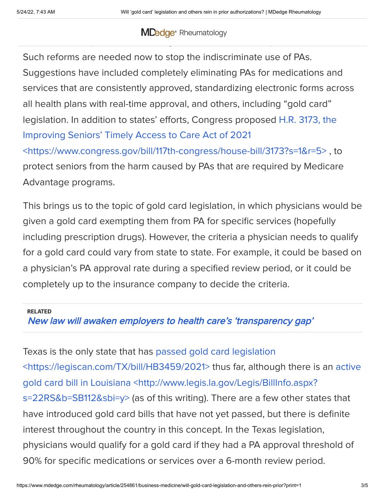### Over the last few years, we have seen many states passing laws, adding common-sense protections to mitigate the harmful consequences of UMTs. The harmful consequences of UMTs. The h **MDedge** [Rheumatology](https://www.mdedge.com/rheumatology)

Such reforms are needed now to stop the indiscriminate use of PAs. Suggestions have included completely eliminating PAs for medications and services that are consistently approved, standardizing electronic forms across all health plans with real-time approval, and others, including "gold card" legislation. In addition to states' efforts, Congress proposed H.R. 3173, the Improving Seniors' Timely Access to Care Act of 2021

[<https://www.congress.gov/bill/117th-congress/house-bill/3173?s=1&r=5>](https://www.congress.gov/bill/117th-congress/house-bill/3173?s=1&r=5) , to protect seniors from the harm caused by PAs that are required by Medicare Advantage programs.

This brings us to the topic of gold card legislation, in which physicians would be given a gold card exempting them from PA for specific services (hopefully including prescription drugs). However, the criteria a physician needs to qualify for a gold card could vary from state to state. For example, it could be based on a physician's PA approval rate during a specified review period, or it could be completely up to the insurance company to decide the criteria.

#### RELATED

New law will awaken employers to health care's ['transparency](https://www.mdedge.com/rheumatology/article/252793/business-medicine/new-law-will-awaken-employers-health-cares) gap'

Texas is the only state that has passed gold card legislation [<https://legiscan.com/TX/bill/HB3459/2021>](http://www.legis.la.gov/Legis/BillInfo.aspx?s=22RS&b=SB112&sbi=y) thus far, although there is an active gold card bill in Louisiana <http://www.legis.la.gov/Legis/BillInfo.aspx? s=22RS&b=SB112&sbi=y> (as of this writing). There are a few other states that have introduced gold card bills that have not yet passed, but there is definite interest throughout the country in this concept. In the Texas legislation, physicians would qualify for a gold card if they had a PA approval threshold of 90% for specific medications or services over a 6-month review period.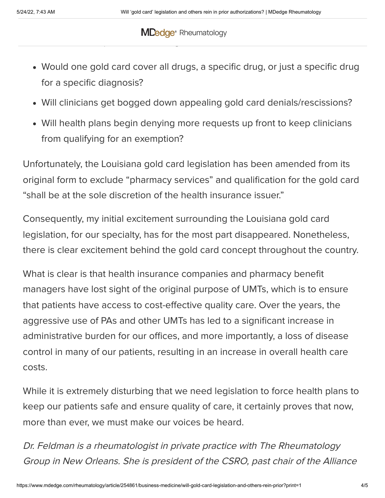### $\mathsf{M} \mathsf{D}_k$  deconcerns about how this will be implemented and the potential behind and the potential  $\mathsf{D}_k$ unintended consequences of the legislation includes of the legislation includes  $\mathcal{L}_\text{c}$ **MDedge** [Rheumatology](https://www.mdedge.com/rheumatology)

- Would one gold card cover all drugs, a specific drug, or just a specific drug for a specific diagnosis?
- Will clinicians get bogged down appealing gold card denials/rescissions?
- Will health plans begin denying more requests up front to keep clinicians from qualifying for an exemption?

Unfortunately, the Louisiana gold card legislation has been amended from its original form to exclude "pharmacy services" and qualification for the gold card "shall be at the sole discretion of the health insurance issuer."

Consequently, my initial excitement surrounding the Louisiana gold card legislation, for our specialty, has for the most part disappeared. Nonetheless, there is clear excitement behind the gold card concept throughout the country.

What is clear is that health insurance companies and pharmacy benefit managers have lost sight of the original purpose of UMTs, which is to ensure that patients have access to cost-effective quality care. Over the years, the aggressive use of PAs and other UMTs has led to a significant increase in administrative burden for our offices, and more importantly, a loss of disease control in many of our patients, resulting in an increase in overall health care costs.

While it is extremely disturbing that we need legislation to force health plans to keep our patients safe and ensure quality of care, it certainly proves that now, more than ever, we must make our voices be heard.

Dr. Feldman is <sup>a</sup> rheumatologist in private practice with The Rheumatology Group in New Orleans. She is president of the CSRO, past chair of the Alliance